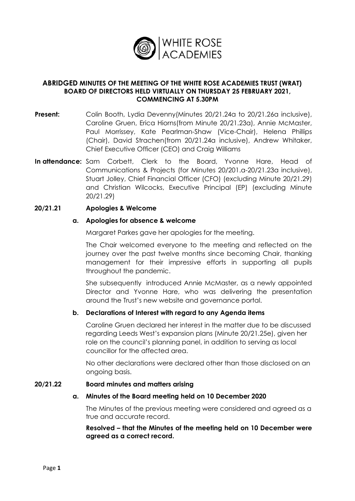

### **ABRIDGED MINUTES OF THE MEETING OF THE WHITE ROSE ACADEMIES TRUST (WRAT) BOARD OF DIRECTORS HELD VIRTUALLY ON THURSDAY 25 FEBRUARY 2021, COMMENCING AT 5.30PM**

- **Present:** Colin Booth, Lydia Devenny(Minutes 20/21.24a to 20/21.26a inclusive), Caroline Gruen, Erica Hiorns(from Minute 20/21.23a), Annie McMaster, Paul Morrissey, Kate Pearlman-Shaw (Vice-Chair), Helena Phillips (Chair), David Strachen(from 20/21.24a inclusive), Andrew Whitaker, Chief Executive Officer (CEO) and Craig Williams
- **In attendance:** Sam Corbett, Clerk to the Board, Yvonne Hare, Head of Communications & Projects (for Minutes 20/201.a-20/21.23a inclusive), Stuart Jolley, Chief Financial Officer (CFO) (excluding Minute 20/21.29) and Christian Wilcocks, Executive Principal (EP) (excluding Minute 20/21.29)

#### **20/21.21 Apologies & Welcome**

#### **a. Apologies for absence & welcome**

Margaret Parkes gave her apologies for the meeting.

The Chair welcomed everyone to the meeting and reflected on the journey over the past twelve months since becoming Chair, thanking management for their impressive efforts in supporting all pupils throughout the pandemic.

She subsequently introduced Annie McMaster, as a newly appointed Director and Yvonne Hare, who was delivering the presentation around the Trust's new website and governance portal.

#### **b. Declarations of Interest with regard to any Agenda items**

Caroline Gruen declared her interest in the matter due to be discussed regarding Leeds West's expansion plans (Minute 20/21.25e), given her role on the council's planning panel, in addition to serving as local councillor for the affected area.

No other declarations were declared other than those disclosed on an ongoing basis.

#### **20/21.22 Board minutes and matters arising**

#### **a. Minutes of the Board meeting held on 10 December 2020**

The Minutes of the previous meeting were considered and agreed as a true and accurate record.

**Resolved – that the Minutes of the meeting held on 10 December were agreed as a correct record.**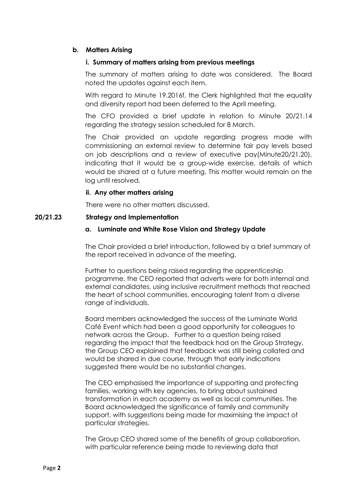### **b. Matters Arising**

#### **i. Summary of matters arising from previous meetings**

The summary of matters arising to date was considered. The Board noted the updates against each item.

With regard to Minute 19.2016f, the Clerk highlighted that the equality and diversity report had been deferred to the April meeting.

The CFO provided a brief update in relation to Minute 20/21.14 regarding the strategy session scheduled for 8 March.

The Chair provided an update regarding progress made with commissioning an external review to determine fair pay levels based on job descriptions and a review of executive pay(Minute20/21.20), indicating that it would be a group-wide exercise, details of which would be shared at a future meeting. This matter would remain on the log until resolved.

### **ii. Any other matters arising**

There were no other matters discussed.

#### **20/21.23 Strategy and Implementation**

#### **a. Luminate and White Rose Vision and Strategy Update**

The Chair provided a brief introduction, followed by a brief summary of the report received in advance of the meeting.

Further to questions being raised regarding the apprenticeship programme, the CEO reported that adverts were for both internal and external candidates, using inclusive recruitment methods that reached the heart of school communities, encouraging talent from a diverse range of individuals.

Board members acknowledged the success of the Luminate World Café Event which had been a good opportunity for colleagues to network across the Group. Further to a question being raised regarding the impact that the feedback had on the Group Strategy, the Group CEO explained that feedback was still being collated and would be shared in due course, through that early indications suggested there would be no substantial changes.

The CEO emphasised the importance of supporting and protecting families, working with key agencies, to bring about sustained transformation in each academy as well as local communities. The Board acknowledged the significance of family and community support, with suggestions being made for maximising the impact of particular strategies.

The Group CEO shared some of the benefits of group collaboration, with particular reference being made to reviewing data that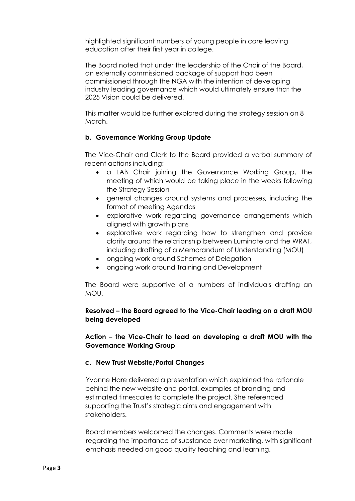highlighted significant numbers of young people in care leaving education after their first year in college.

The Board noted that under the leadership of the Chair of the Board, an externally commissioned package of support had been commissioned through the NGA with the intention of developing industry leading governance which would ultimately ensure that the 2025 Vision could be delivered.

This matter would be further explored during the strategy session on 8 March.

# **b. Governance Working Group Update**

The Vice-Chair and Clerk to the Board provided a verbal summary of recent actions including:

- a LAB Chair joining the Governance Working Group, the meeting of which would be taking place in the weeks following the Strategy Session
- general changes around systems and processes, including the format of meeting Agendas
- explorative work regarding governance arrangements which aligned with growth plans
- explorative work regarding how to strengthen and provide clarity around the relationship between Luminate and the WRAT, including drafting of a Memorandum of Understanding (MOU)
- ongoing work around Schemes of Delegation
- ongoing work around Training and Development

The Board were supportive of a numbers of individuals drafting an MOU.

# **Resolved – the Board agreed to the Vice-Chair leading on a draft MOU being developed**

**Action – the Vice-Chair to lead on developing a draft MOU with the Governance Working Group** 

#### **c. New Trust Website/Portal Changes**

Yvonne Hare delivered a presentation which explained the rationale behind the new website and portal, examples of branding and estimated timescales to complete the project. She referenced supporting the Trust's strategic aims and engagement with stakeholders.

Board members welcomed the changes. Comments were made regarding the importance of substance over marketing, with significant emphasis needed on good quality teaching and learning.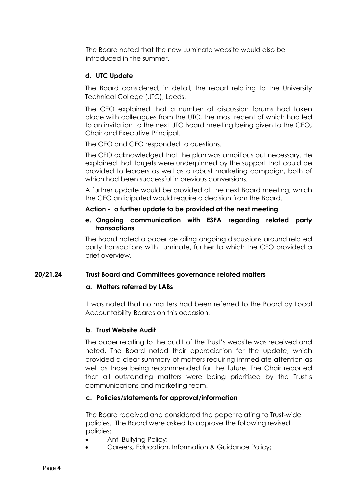The Board noted that the new Luminate website would also be introduced in the summer.

# **d. UTC Update**

The Board considered, in detail, the report relating to the University Technical College (UTC), Leeds.

The CEO explained that a number of discussion forums had taken place with colleagues from the UTC, the most recent of which had led to an invitation to the next UTC Board meeting being given to the CEO, Chair and Executive Principal.

The CEO and CFO responded to questions.

The CFO acknowledged that the plan was ambitious but necessary. He explained that targets were underpinned by the support that could be provided to leaders as well as a robust marketing campaign, both of which had been successful in previous conversions.

A further update would be provided at the next Board meeting, which the CFO anticipated would require a decision from the Board.

### **Action - a further update to be provided at the next meeting**

### **e. Ongoing communication with ESFA regarding related party transactions**

The Board noted a paper detailing ongoing discussions around related party transactions with Luminate, further to which the CFO provided a brief overview.

# **20/21.24 Trust Board and Committees governance related matters**

#### **a. Matters referred by LABs**

It was noted that no matters had been referred to the Board by Local Accountability Boards on this occasion.

# **b. Trust Website Audit**

The paper relating to the audit of the Trust's website was received and noted. The Board noted their appreciation for the update, which provided a clear summary of matters requiring immediate attention as well as those being recommended for the future. The Chair reported that all outstanding matters were being prioritised by the Trust's communications and marketing team.

#### **c. Policies/statements for approval/information**

The Board received and considered the paper relating to Trust-wide policies. The Board were asked to approve the following revised policies:

- Anti-Bullying Policy;
- Careers, Education, Information & Guidance Policy;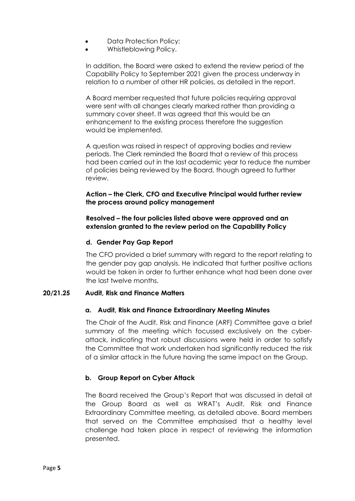- Data Protection Policy;
- Whistleblowing Policy.

In addition, the Board were asked to extend the review period of the Capability Policy to September 2021 given the process underway in relation to a number of other HR policies, as detailed in the report.

A Board member requested that future policies requiring approval were sent with all changes clearly marked rather than providing a summary cover sheet. It was agreed that this would be an enhancement to the existing process therefore the suggestion would be implemented.

A question was raised in respect of approving bodies and review periods. The Clerk reminded the Board that a review of this process had been carried out in the last academic year to reduce the number of policies being reviewed by the Board, though agreed to further review.

### **Action – the Clerk, CFO and Executive Principal would further review the process around policy management**

### **Resolved – the four policies listed above were approved and an extension granted to the review period on the Capability Policy**

# **d. Gender Pay Gap Report**

The CFO provided a brief summary with regard to the report relating to the gender pay gap analysis. He indicated that further positive actions would be taken in order to further enhance what had been done over the last twelve months.

# **20/21.25 Audit, Risk and Finance Matters**

#### **a. Audit, Risk and Finance Extraordinary Meeting Minutes**

The Chair of the Audit, Risk and Finance (ARF) Committee gave a brief summary of the meeting which focussed exclusively on the cyberattack, indicating that robust discussions were held in order to satisfy the Committee that work undertaken had significantly reduced the risk of a similar attack in the future having the same impact on the Group.

# **b. Group Report on Cyber Attack**

The Board received the Group's Report that was discussed in detail at the Group Board as well as WRAT's Audit, Risk and Finance Extraordinary Committee meeting, as detailed above. Board members that served on the Committee emphasised that a healthy level challenge had taken place in respect of reviewing the information presented.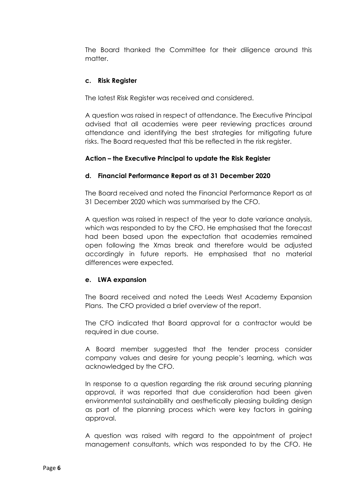The Board thanked the Committee for their diligence around this matter.

# **c. Risk Register**

The latest Risk Register was received and considered.

A question was raised in respect of attendance. The Executive Principal advised that all academies were peer reviewing practices around attendance and identifying the best strategies for mitigating future risks. The Board requested that this be reflected in the risk register.

# **Action – the Executive Principal to update the Risk Register**

### **d. Financial Performance Report as at 31 December 2020**

The Board received and noted the Financial Performance Report as at 31 December 2020 which was summarised by the CFO.

A question was raised in respect of the year to date variance analysis, which was responded to by the CFO. He emphasised that the forecast had been based upon the expectation that academies remained open following the Xmas break and therefore would be adjusted accordingly in future reports. He emphasised that no material differences were expected.

#### **e. LWA expansion**

The Board received and noted the Leeds West Academy Expansion Plans. The CFO provided a brief overview of the report.

The CFO indicated that Board approval for a contractor would be required in due course.

A Board member suggested that the tender process consider company values and desire for young people's learning, which was acknowledged by the CFO.

In response to a question regarding the risk around securing planning approval, it was reported that due consideration had been given environmental sustainability and aesthetically pleasing building design as part of the planning process which were key factors in gaining approval.

A question was raised with regard to the appointment of project management consultants, which was responded to by the CFO. He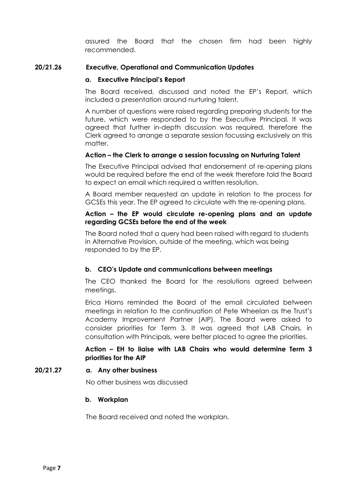assured the Board that the chosen firm had been highly recommended.

#### **20/21.26 Executive, Operational and Communication Updates**

#### **a. Executive Principal's Report**

The Board received, discussed and noted the EP's Report, which included a presentation around nurturing talent.

A number of questions were raised regarding preparing students for the future, which were responded to by the Executive Principal. It was agreed that further in-depth discussion was required, therefore the Clerk agreed to arrange a separate session focussing exclusively on this matter.

### **Action – the Clerk to arrange a session focussing on Nurturing Talent**

The Executive Principal advised that endorsement of re-opening plans would be required before the end of the week therefore told the Board to expect an email which required a written resolution.

A Board member requested an update in relation to the process for GCSEs this year. The EP agreed to circulate with the re-opening plans.

### **Action – the EP would circulate re-opening plans and an update regarding GCSEs before the end of the week**

The Board noted that a query had been raised with regard to students in Alternative Provision, outside of the meeting, which was being responded to by the EP.

# **b. CEO's Update and communications between meetings**

The CEO thanked the Board for the resolutions agreed between meetings.

Erica Hiorns reminded the Board of the email circulated between meetings in relation to the continuation of Pete Wheelan as the Trust's Academy Improvement Partner (AIP). The Board were asked to consider priorities for Term 3. It was agreed that LAB Chairs, in consultation with Principals, were better placed to agree the priorities.

**Action – EH to liaise with LAB Chairs who would determine Term 3 priorities for the AIP** 

**20/21.27 a. Any other business**

No other business was discussed

#### **b. Workplan**

The Board received and noted the workplan.